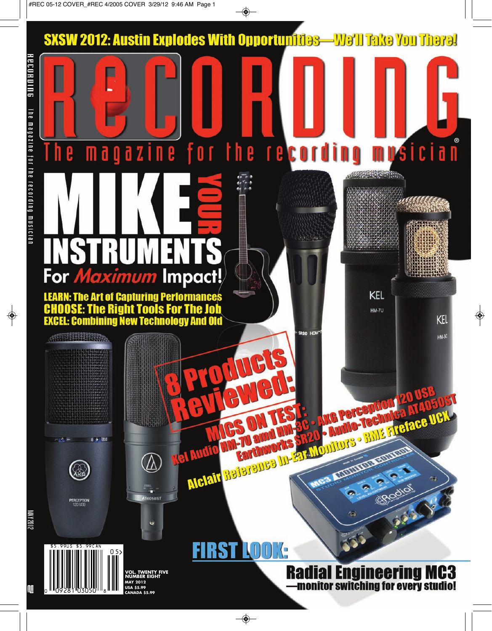**-We'll Take You There!** 

# SKSW 2012: Austin Explodes W<br>
The may all all a letter<br>
The may all a letter<br>
Excel the Rec display and the process of the Registre Tools For The Jo<br>
EXCEL Combining New Technology And O<br>
Cover the Registration of the AM P

**KEL HM-7U** 

**Mong** 

**BIGEDIDE FLIGTAGE UCH** 

Rodio

SROO HD

mysician

KEL **HM-3C** 

# **Radial Engineering MC3** monitor switching for every studio!

**LUQUE AND SOLUTION** 

**VOL. TWENTY FIVE NUMBER EIGHT MAY 2012 USA \$5.99 CANADA \$5.99**

**FIRST LOOK:** 

0 5

8 <sup>11</sup>09281 03050 <sup>11</sup>8

\$5.99US \$5.99CAN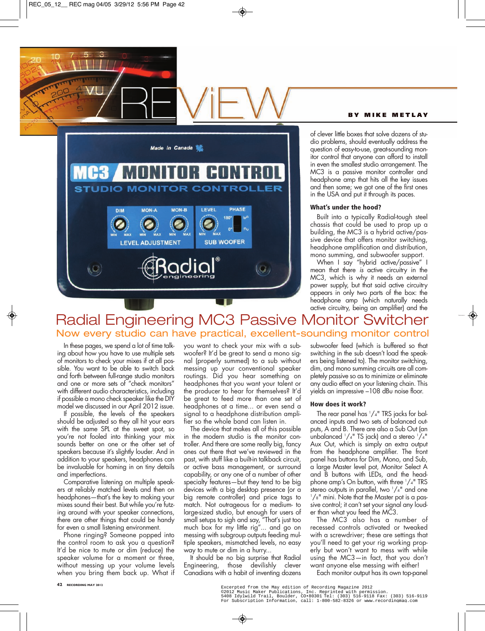### **B Y M I K E M E T L A Y**



of clever little boxes that solve dozens of studio problems, should eventually address the question of easy-to-use, great-sounding monitor control that anyone can afford to install in even the smallest studio arrangement. The MC3 is a passive monitor controller and headphone amp that hits all the key issues and then some; we got one of the first ones in the USA and put it through its paces.

### **What's under the hood?**

Built into a typically Radial-tough steel chassis that could be used to prop up a building, the MC3 is a hybrid active/passive device that offers monitor switching, headphone amplification and distribution, mono summing, and subwoofer support.

When I say "hybrid active/passive" I mean that there *is* active circuitry in the MC3, which is why it needs an external power supply, but that said active circuitry appears in only two parts of the box: the headphone amp (which naturally needs active circuitry, being an amplifier) and the

## Radial Engineering MC3 Passive Monitor Switcher Now every studio can have practical, excellent-sounding monitor control

In these pages, we spend a lot of time talking about how you have to use multiple sets of monitors to check your mixes if at all possible. You want to be able to switch back and forth between full-range studio monitors and one or more sets of "check monitors" with different audio characteristics, including if possible a mono check speaker like the DIY model we discussed in our April 2012 issue.

If possible, the levels of the speakers should be adjusted so they all hit your ears with the same SPL at the sweet spot, so you're not fooled into thinking your mix sounds better on one or the other set of speakers because it's slightly louder. And in addition to your speakers, headphones can be invaluable for homing in on tiny details and imperfections.

Comparative listening on multiple speakers at reliably matched levels and then on headphones—that's the key to making your mixes sound their best. But while you're futzing around with your speaker connections, there are other things that could be handy for even a small listening environment.

Phone ringing? Someone popped into the control room to ask you a question? It'd be nice to mute or dim (reduce) the speaker volume for a moment or three, without messing up your volume levels when you bring them back up. What if you want to check your mix with a subwoofer? It'd be great to send a mono signal (properly summed) to a sub without messing up your conventional speaker routings. Did you hear something on headphones that you want your talent or the producer to hear for themselves? It'd be great to feed more than one set of headphones at a time... or even send a signal to a headphone distribution amplifier so the whole band can listen in.

The device that makes all of this possible in the modern studio is the monitor controller. And there are some really big, fancy ones out there that we've reviewed in the past, with stuff like a built-in talkback circuit, or active bass management, or surround capability, or any one of a number of other specialty features—but they tend to be big devices with a big desktop presence (or a big remote controller) and price tags to match. Not outrageous for a medium- to large-sized studio, but enough for users of small setups to sigh and say, "That's just too much box for my little rig"... and go on messing with subgroup outputs feeding multiple speakers, mismatched levels, no easy way to mute or dim in a hurry...

It should be no big surprise that Radial Engineering, those devilishly clever Canadians with a habit of inventing dozens subwoofer feed (which is buffered so that switching in the sub doesn't load the speakers being listened to). The monitor switching, dim, and mono summing circuits are all completely passive so as to minimize or eliminate any audio effect on your listening chain. This yields an impressive –108 dBu noise floor.

### **How does it work?**

The rear panel has  $1/4$ " TRS jacks for balanced inputs and two sets of balanced outputs, A and B. There are also a Sub Out (an unbalanced  $1/4$ " TS jack) and a stereo  $1/4$ " Aux Out, which is simply an extra output from the headphone amplifier. The front panel has buttons for Dim, Mono, and Sub, a large Master level pot, Monitor Select A and B buttons with LEDs, and the headphone amp's On button, with three  $1/4$ " TRS stereo outputs in parallel, two  $1/4$ " and one 1 /8" mini. Note that the Master pot is a passive control; it can't set your signal any louder than what you feed the MC3.

The MC3 also has a number of recessed controls activated or tweaked with a screwdriver; these are settings that you'll need to get your rig working properly but won't want to mess with while using the MC3—in fact, that you don't want anyone else messing with either!

Each monitor output has its own top-panel

Excerpted from the May edition of Recording Magazine 2012<br>©2012 Music Maker Publications, Inc. Reprinted with permission.<br>5408 Idylwild Trail, Boulder, CO•80301 Tel: (303) 516-9118 Fax: (303) 516-9119<br>For Subscription Info